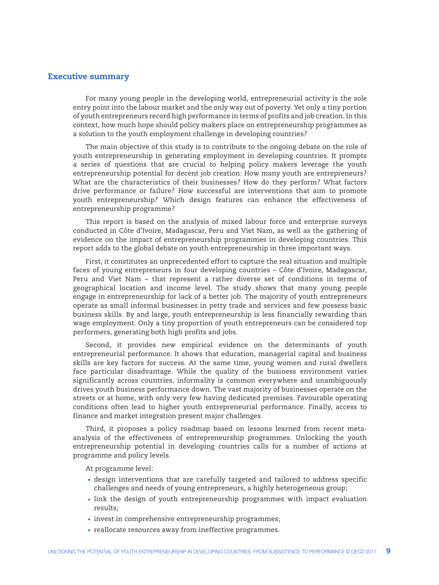## Executive summary

For many young people in the developing world, entrepreneurial activity is the sole entry point into the labour market and the only way out of poverty. Yet only a tiny portion of youth entrepreneurs record high performance in terms of profits and job creation. In this context, how much hope should policy makers place on entrepreneurship programmes as a solution to the youth employment challenge in developing countries?

The main objective of this study is to contribute to the ongoing debate on the role of youth entrepreneurship in generating employment in developing countries. It prompts a series of questions that are crucial to helping policy makers leverage the youth entrepreneurship potential for decent job creation: How many youth are entrepreneurs? What are the characteristics of their businesses? How do they perform? What factors drive performance or failure? How successful are interventions that aim to promote youth entrepreneurship? Which design features can enhance the effectiveness of entrepreneurship programme?

This report is based on the analysis of mixed labour force and enterprise surveys conducted in Côte d'Ivoire, Madagascar, Peru and Viet Nam, as well as the gathering of evidence on the impact of entrepreneurship programmes in developing countries. This report adds to the global debate on youth entrepreneurship in three important ways.

First, it constitutes an unprecedented effort to capture the real situation and multiple faces of young entrepreneurs in four developing countries – Côte d'Ivoire, Madagascar, Peru and Viet Nam – that represent a rather diverse set of conditions in terms of geographical location and income level. The study shows that many young people engage in entrepreneurship for lack of a better job. The majority of youth entrepreneurs operate as small informal businesses in petty trade and services and few possess basic business skills. By and large, youth entrepreneurship is less financially rewarding than wage employment. Only a tiny proportion of youth entrepreneurs can be considered top performers, generating both high profits and jobs.

Second, it provides new empirical evidence on the determinants of youth entrepreneurial performance. It shows that education, managerial capital and business skills are key factors for success. At the same time, young women and rural dwellers face particular disadvantage. While the quality of the business environment varies significantly across countries, informality is common everywhere and unambiguously drives youth business performance down. The vast majority of businesses operate on the streets or at home, with only very few having dedicated premises. Favourable operating conditions often lead to higher youth entrepreneurial performance. Finally, access to finance and market integration present major challenges.

Third, it proposes a policy roadmap based on lessons learned from recent metaanalysis of the effectiveness of entrepreneurship programmes. Unlocking the youth entrepreneurship potential in developing countries calls for a number of actions at programme and policy levels.

At programme level:

- design interventions that are carefully targeted and tailored to address specific challenges and needs of young entrepreneurs, a highly heterogeneous group;
- link the design of youth entrepreneurship programmes with impact evaluation results;
- invest in comprehensive entrepreneurship programmes;
- reallocate resources away from ineffective programmes.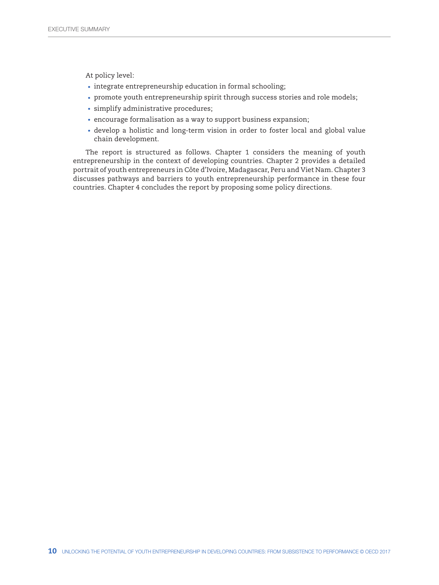At policy level:

- integrate entrepreneurship education in formal schooling;
- promote youth entrepreneurship spirit through success stories and role models;
- simplify administrative procedures;
- encourage formalisation as a way to support business expansion;
- develop a holistic and long-term vision in order to foster local and global value chain development.

The report is structured as follows. Chapter 1 considers the meaning of youth entrepreneurship in the context of developing countries. Chapter 2 provides a detailed portrait of youth entrepreneurs in Côte d'Ivoire, Madagascar, Peru and Viet Nam. Chapter 3 discusses pathways and barriers to youth entrepreneurship performance in these four countries. Chapter 4 concludes the report by proposing some policy directions.